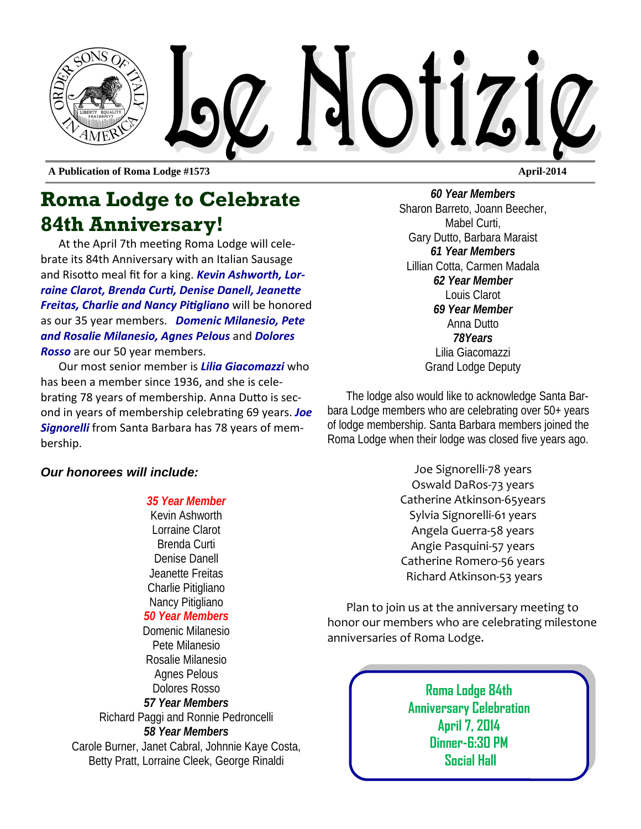

**A Publication of Roma Lodge #1573 April-2014** 

## **Roma Lodge to Celebrate 84th Anniversary!**

At the April 7th meeting Roma Lodge will celebrate its 84th Anniversary with an Italian Sausage and Risotto meal fit for a king. **Kevin Ashworth, Lor***raine Clarot, Brenda CurƟ, Denise Danell, JeaneƩe Freitas, Charlie and Nancy Pitigliano* will be honored as our 35 year members. *Domenic Milanesio, Pete and Rosalie Milanesio, Agnes Pelous* and *Dolores Rosso* are our 50 year members.

Our most senior member is *Lilia Giacomazzi* who has been a member since 1936, and she is celebrating 78 years of membership. Anna Dutto is second in years of membership celebraƟng 69 years. *Joe Signorelli* from Santa Barbara has 78 years of membership.

*60 Year Members*  Sharon Barreto, Joann Beecher, Mabel Curti, Gary Dutto, Barbara Maraist *61 Year Members*  Lillian Cotta, Carmen Madala *62 Year Member*  Louis Clarot *69 Year Member*  Anna Dutto *78Years*  Lilia Giacomazzi Grand Lodge Deputy

The lodge also would like to acknowledge Santa Barbara Lodge members who are celebrating over 50+ years of lodge membership. Santa Barbara members joined the Roma Lodge when their lodge was closed five years ago.

#### *Our honorees will include:*

#### *35 Year Member*

Kevin Ashworth Lorraine Clarot Brenda Curti Denise Danell Jeanette Freitas Charlie Pitigliano Nancy Pitigliano

#### *50 Year Members*

Domenic Milanesio Pete Milanesio Rosalie Milanesio Agnes Pelous Dolores Rosso *57 Year Members*  Richard Paggi and Ronnie Pedroncelli *58 Year Members*

Carole Burner, Janet Cabral, Johnnie Kaye Costa, Betty Pratt, Lorraine Cleek, George Rinaldi

Joe Signorelli‐78 years Oswald DaRos‐73 years Catherine Atkinson‐65years Sylvia Signorelli‐61 years Angela Guerra‐58 years Angie Pasquini‐57 years Catherine Romero‐56 years Richard Atkinson‐53 years

Plan to join us at the anniversary meeting to honor our members who are celebrating milestone anniversaries of Roma Lodge.

> **Roma Lodge 84th Anniversary Celebration April 7, 2014 Dinner-6:30 PM Social Hall**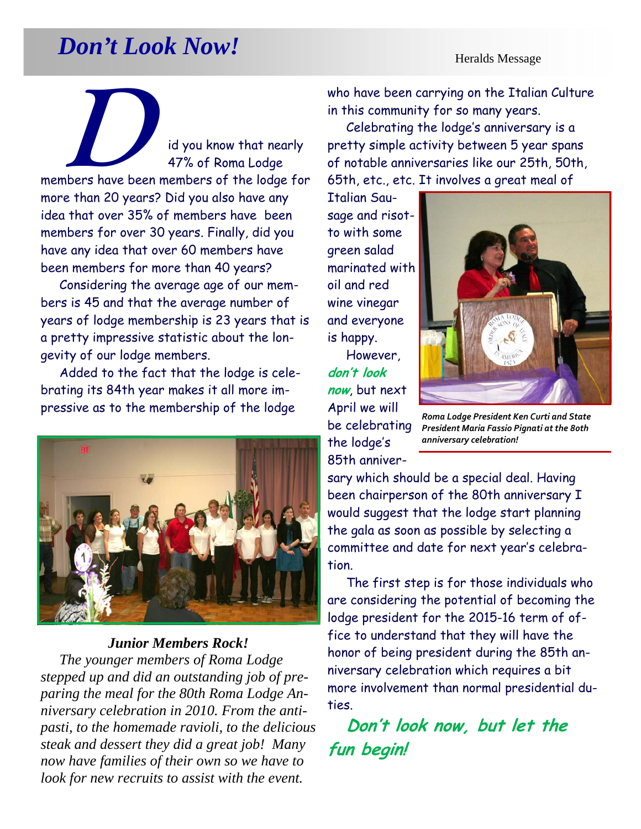## *Don't Look Now!* **Heralds Message**

**D**<br>id you know that nearly<br>47% of Roma Lodae 47% of Roma Lodge members have been members of the lodge for more than 20 years? Did you also have any idea that over 35% of members have been members for over 30 years. Finally, did you have any idea that over 60 members have been members for more than 40 years?

Considering the average age of our members is 45 and that the average number of years of lodge membership is 23 years that is a pretty impressive statistic about the longevity of our lodge members.

Added to the fact that the lodge is celebrating its 84th year makes it all more impressive as to the membership of the lodge



#### *Junior Members Rock!*

*The younger members of Roma Lodge stepped up and did an outstanding job of preparing the meal for the 80th Roma Lodge Anniversary celebration in 2010. From the antipasti, to the homemade ravioli, to the delicious steak and dessert they did a great job! Many now have families of their own so we have to look for new recruits to assist with the event.* 

who have been carrying on the Italian Culture in this community for so many years.

Celebrating the lodge's anniversary is a pretty simple activity between 5 year spans of notable anniversaries like our 25th, 50th, 65th, etc., etc. It involves a great meal of

Italian Sausage and risotto with some green salad marinated with oil and red wine vinegar and everyone is happy.

However, **don't look now**, but next April we will be celebrating the lodge's 85th anniver-



*Roma Lodge President Ken Curti and State President Maria Fassio Pignati at the 80th anniversary celebration!* 

sary which should be a special deal. Having been chairperson of the 80th anniversary I would suggest that the lodge start planning the gala as soon as possible by selecting a committee and date for next year's celebration.

The first step is for those individuals who are considering the potential of becoming the lodge president for the 2015-16 term of office to understand that they will have the honor of being president during the 85th anniversary celebration which requires a bit more involvement than normal presidential duties.

**Don't look now, but let the fun begin!**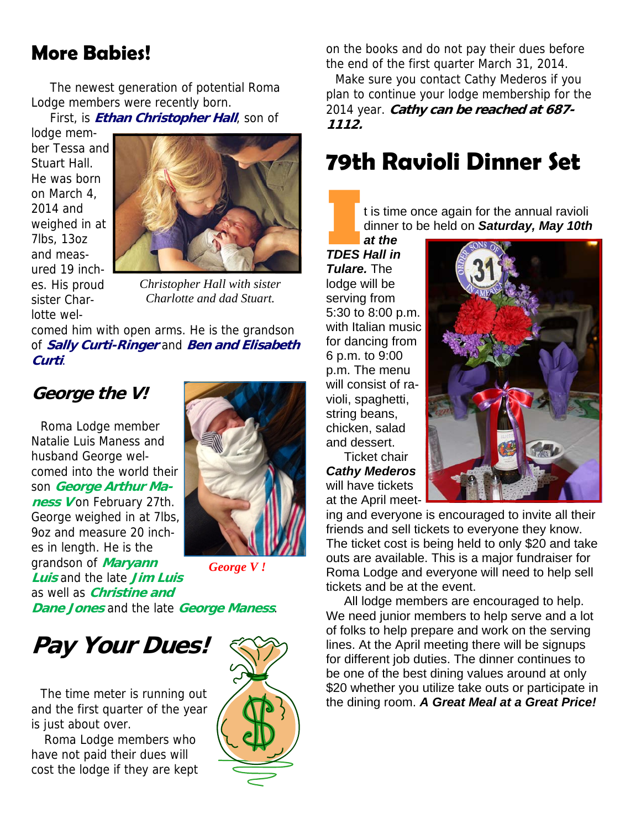## **More Babies!**

The newest generation of potential Roma Lodge members were recently born.

First, is **Ethan Christopher Hall**, son of

lodge member Tessa and Stuart Hall. He was born on March 4, 2014 and weighed in at 7lbs, 13oz and measured 19 inches. His proud sister Charlotte wel-



*Christopher Hall with sister Charlotte and dad Stuart.* 

comed him with open arms. He is the grandson of **Sally Curti-Ringer** and **Ben and Elisabeth Curti**.

#### **George the V!**

Roma Lodge member Natalie Luis Maness and husband George welcomed into the world their son **George Arthur Maness V** on February 27th. George weighed in at 7lbs, 9oz and measure 20 inches in length. He is the grandson of **Maryann Luis** and the late **Jim Luis**  as well as **Christine and** 



*George V !* 

**Dane Jones** and the late **George Maness**.

## **Pay Your Dues!**

The time meter is running out and the first quarter of the year is just about over.

 Roma Lodge members who have not paid their dues will cost the lodge if they are kept



on the books and do not pay their dues before the end of the first quarter March 31, 2014.

Make sure you contact Cathy Mederos if you plan to continue your lodge membership for the 2014 year. **Cathy can be reached at 687- 1112.** 

## **79th Ravioli Dinner Set**

I t is time once again for the annual raviolid dinner to be held on **Saturday, May 10th**<br> **I TDES Hall in** dinner to be held on *Saturday, May 10th* 

*at the TDES Hall in Tulare.* The lodge will be serving from 5:30 to 8:00 p.m. with Italian music for dancing from 6 p.m. to 9:00 p.m. The menu will consist of ravioli, spaghetti, string beans, chicken, salad and dessert.

Ticket chair *Cathy Mederos*  will have tickets at the April meet-



ing and everyone is encouraged to invite all their friends and sell tickets to everyone they know. The ticket cost is being held to only \$20 and take outs are available. This is a major fundraiser for Roma Lodge and everyone will need to help sell tickets and be at the event.

All lodge members are encouraged to help. We need junior members to help serve and a lot of folks to help prepare and work on the serving lines. At the April meeting there will be signups for different job duties. The dinner continues to be one of the best dining values around at only \$20 whether you utilize take outs or participate in the dining room. *A Great Meal at a Great Price!*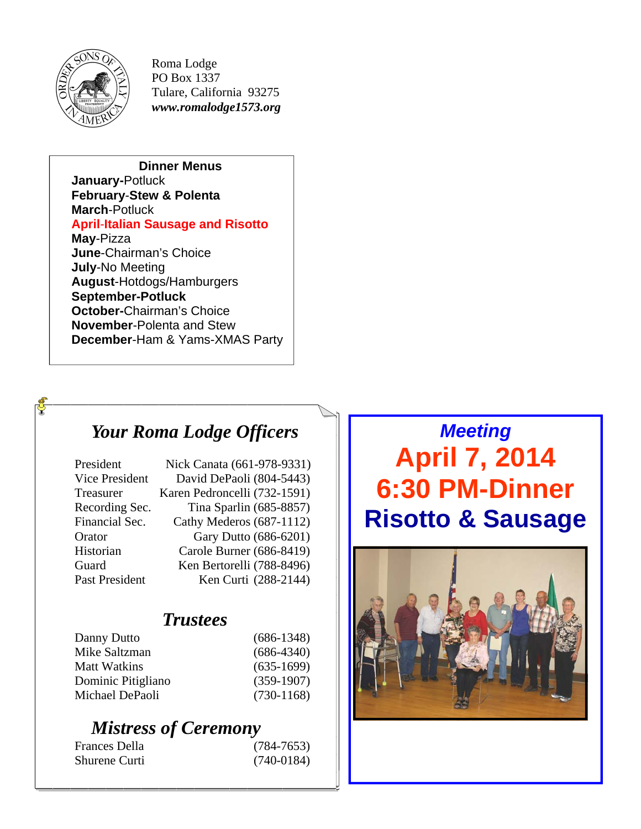

ර්

Roma Lodge PO Box 1337 Tulare, California 93275 *www.romalodge1573.org* 

**Dinner Menus January-**Potluck **February**-**Stew & Polenta March**-Potluck **April**-**Italian Sausage and Risotto May**-Pizza **June**-Chairman's Choice **July**-No Meeting **August**-Hotdogs/Hamburgers **September-Potluck October-**Chairman's Choice **November**-Polenta and Stew **December**-Ham & Yams-XMAS Party

## *Your Roma Lodge Officers Your Roma Lodge Officers Your Roma Lodge Officers*

| President      | Nick Canata (661-978-9331)   |
|----------------|------------------------------|
| Vice President | David DePaoli (804-5443)     |
| Treasurer      | Karen Pedroncelli (732-1591) |
| Recording Sec. | Tina Sparlin (685-8857)      |
| Financial Sec. | Cathy Mederos (687-1112)     |
| Orator         | Gary Dutto (686-6201)        |
| Historian      | Carole Burner (686-8419)     |
| Guard          | Ken Bertorelli (788-8496)    |
| Past President | Ken Curti (288-2144)         |

## *Trustees Trustees Trustees*

| Danny Dutto         | $(686-1348)$ |
|---------------------|--------------|
| Mike Saltzman       | $(686-4340)$ |
| <b>Matt Watkins</b> | $(635-1699)$ |
| Dominic Pitigliano  | $(359-1907)$ |
| Michael DePaoli     | $(730-1168)$ |

## *Mistress of Ceremony Mistress of Ceremony Mistress of Ceremony*

| Frances Della | $(784 - 7653)$ |
|---------------|----------------|
| Shurene Curti | $(740-0184)$   |

## *Meeting*  **April 7, 2014 6:30 PM-Dinner Risotto & Sausage**

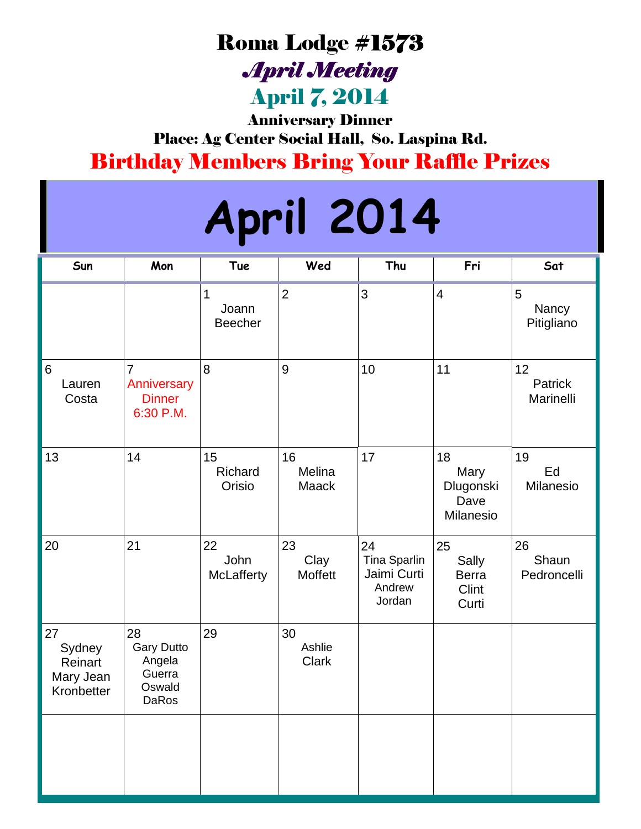## Roma Lodge #1573

*April Meeting*  April 7, 2014

Anniversary Dinner Place: Ag Center Social Hall, So. Laspina Rd. Birthday Members Bring Your Raffle Prizes

# **April 2014**

| Sun                                                | Mon                                                            | Tue                          | Wed                          | Thu                                                          | Fri                                           | Sat                        |
|----------------------------------------------------|----------------------------------------------------------------|------------------------------|------------------------------|--------------------------------------------------------------|-----------------------------------------------|----------------------------|
|                                                    |                                                                | 1<br>Joann<br><b>Beecher</b> | $\overline{2}$               | 3                                                            | $\overline{\mathbf{4}}$                       | 5<br>Nancy<br>Pitigliano   |
| 6<br>Lauren<br>Costa                               | $\overline{7}$<br>Anniversary<br><b>Dinner</b><br>6:30 P.M.    | 8                            | $\overline{9}$               | 10                                                           | 11                                            | 12<br>Patrick<br>Marinelli |
| 13                                                 | 14                                                             | 15<br>Richard<br>Orisio      | 16<br>Melina<br><b>Maack</b> | 17                                                           | 18<br>Mary<br>Dlugonski<br>Dave<br>Milanesio  | 19<br>Ed<br>Milanesio      |
| 20                                                 | 21                                                             | 22<br>John<br>McLafferty     | 23<br>Clay<br>Moffett        | 24<br><b>Tina Sparlin</b><br>Jaimi Curti<br>Andrew<br>Jordan | 25<br>Sally<br><b>Berra</b><br>Clint<br>Curti | 26<br>Shaun<br>Pedroncelli |
| 27<br>Sydney<br>Reinart<br>Mary Jean<br>Kronbetter | 28<br><b>Gary Dutto</b><br>Angela<br>Guerra<br>Oswald<br>DaRos | 29                           | 30<br>Ashlie<br><b>Clark</b> |                                                              |                                               |                            |
|                                                    |                                                                |                              |                              |                                                              |                                               |                            |